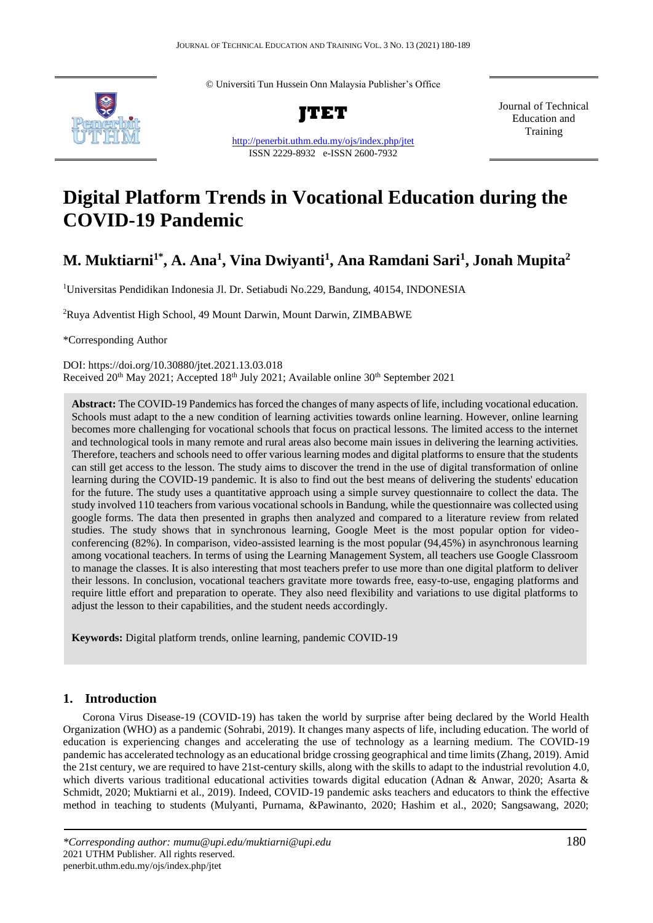© Universiti Tun Hussein Onn Malaysia Publisher's Office



**JTET**

<http://penerbit.uthm.edu.my/ojs/index.php/jtet> ISSN 2229-8932 e-ISSN 2600-7932

Journal of Technical Education and Training

# **Digital Platform Trends in Vocational Education during the COVID-19 Pandemic**

## **M. Muktiarni1\*, A. Ana<sup>1</sup> , Vina Dwiyanti<sup>1</sup> , Ana Ramdani Sari<sup>1</sup> , Jonah Mupita<sup>2</sup>**

<sup>1</sup>Universitas Pendidikan Indonesia Jl. Dr. Setiabudi No.229, Bandung, 40154, INDONESIA

<sup>2</sup>Ruya Adventist High School, 49 Mount Darwin, Mount Darwin, ZIMBABWE

\*Corresponding Author

DOI: https://doi.org/10.30880/jtet.2021.13.03.018 Received 20<sup>th</sup> May 2021; Accepted 18<sup>th</sup> July 2021; Available online 30<sup>th</sup> September 2021

**Abstract:** The COVID-19 Pandemics has forced the changes of many aspects of life, including vocational education. Schools must adapt to the a new condition of learning activities towards online learning. However, online learning becomes more challenging for vocational schools that focus on practical lessons. The limited access to the internet and technological tools in many remote and rural areas also become main issues in delivering the learning activities. Therefore, teachers and schools need to offer various learning modes and digital platforms to ensure that the students can still get access to the lesson. The study aims to discover the trend in the use of digital transformation of online learning during the COVID-19 pandemic. It is also to find out the best means of delivering the students' education for the future. The study uses a quantitative approach using a simple survey questionnaire to collect the data. The study involved 110 teachers from various vocational schools in Bandung, while the questionnaire was collected using google forms. The data then presented in graphs then analyzed and compared to a literature review from related studies. The study shows that in synchronous learning, Google Meet is the most popular option for videoconferencing (82%). In comparison, video-assisted learning is the most popular (94,45%) in asynchronous learning among vocational teachers. In terms of using the Learning Management System, all teachers use Google Classroom to manage the classes. It is also interesting that most teachers prefer to use more than one digital platform to deliver their lessons. In conclusion, vocational teachers gravitate more towards free, easy-to-use, engaging platforms and require little effort and preparation to operate. They also need flexibility and variations to use digital platforms to adjust the lesson to their capabilities, and the student needs accordingly.

**Keywords:** Digital platform trends, online learning, pandemic COVID-19

#### **1. Introduction** c phase diagrams, engineering materials

Corona Virus Disease-19 (COVID-19) has taken the world by surprise after being declared by the World Health Organization (WHO) as a pandemic (Sohrabi, 2019). It changes many aspects of life, including education. The world of education is experiencing changes and accelerating the use of technology as a learning medium. The COVID-19 pandemic has accelerated technology as an educational bridge crossing geographical and time limits (Zhang, 2019). Amid the 21st century, we are required to have 21st-century skills, along with the skills to adapt to the industrial revolution 4.0, which diverts various traditional educational activities towards digital education (Adnan & Anwar, 2020; Asarta & Schmidt, 2020; Muktiarni et al., 2019). Indeed, COVID-19 pandemic asks teachers and educators to think the effective method in teaching to students (Mulyanti, Purnama, &Pawinanto, 2020; Hashim et al., 2020; Sangsawang, 2020;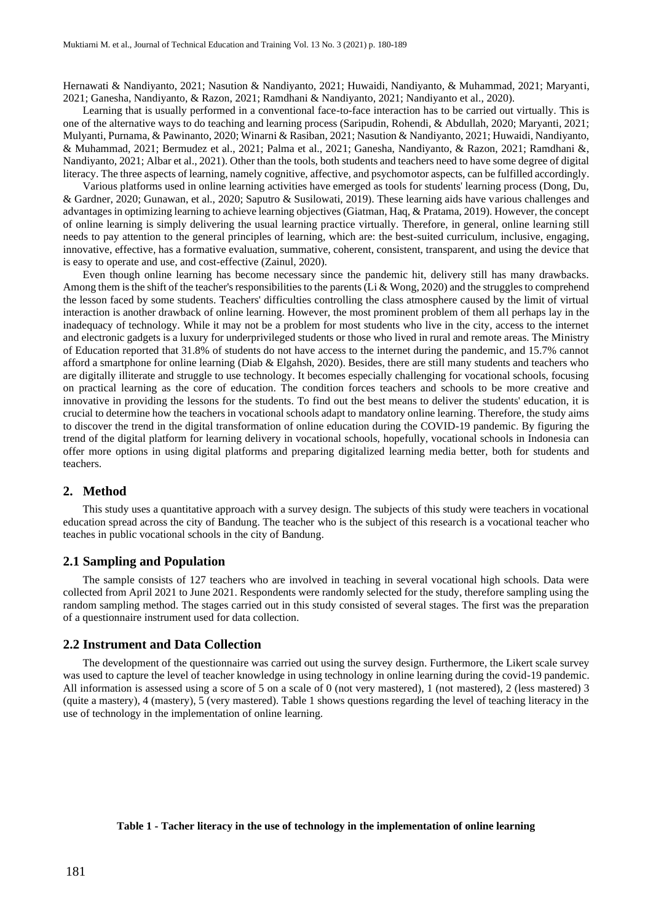Hernawati & Nandiyanto, 2021; Nasution & Nandiyanto, 2021; Huwaidi, Nandiyanto, & Muhammad, 2021; Maryanti, 2021; Ganesha, Nandiyanto, & Razon, 2021; Ramdhani & Nandiyanto, 2021; Nandiyanto et al., 2020).

Learning that is usually performed in a conventional face-to-face interaction has to be carried out virtually. This is one of the alternative ways to do teaching and learning process (Saripudin, Rohendi, & Abdullah, 2020; Maryanti, 2021; Mulyanti, Purnama, & Pawinanto, 2020; Winarni & Rasiban, 2021; Nasution & Nandiyanto, 2021; Huwaidi, Nandiyanto, & Muhammad, 2021; Bermudez et al., 2021; Palma et al., 2021; Ganesha, Nandiyanto, & Razon, 2021; Ramdhani &, Nandiyanto, 2021; Albar et al., 2021). Other than the tools, both students and teachers need to have some degree of digital literacy. The three aspects of learning, namely cognitive, affective, and psychomotor aspects, can be fulfilled accordingly.

Various platforms used in online learning activities have emerged as tools for students' learning process (Dong, Du, & Gardner, 2020; Gunawan, et al., 2020; Saputro & Susilowati, 2019). These learning aids have various challenges and advantages in optimizing learning to achieve learning objectives (Giatman, Haq, & Pratama, 2019). However, the concept of online learning is simply delivering the usual learning practice virtually. Therefore, in general, online learning still needs to pay attention to the general principles of learning, which are: the best-suited curriculum, inclusive, engaging, innovative, effective, has a formative evaluation, summative, coherent, consistent, transparent, and using the device that is easy to operate and use, and cost-effective (Zainul, 2020).

Even though online learning has become necessary since the pandemic hit, delivery still has many drawbacks. Among them is the shift of the teacher's responsibilities to the parents (Li & Wong, 2020) and the struggles to comprehend the lesson faced by some students. Teachers' difficulties controlling the class atmosphere caused by the limit of virtual interaction is another drawback of online learning. However, the most prominent problem of them all perhaps lay in the inadequacy of technology. While it may not be a problem for most students who live in the city, access to the internet and electronic gadgets is a luxury for underprivileged students or those who lived in rural and remote areas. The Ministry of Education reported that 31.8% of students do not have access to the internet during the pandemic, and 15.7% cannot afford a smartphone for online learning (Diab & Elgahsh, 2020). Besides, there are still many students and teachers who are digitally illiterate and struggle to use technology. It becomes especially challenging for vocational schools, focusing on practical learning as the core of education. The condition forces teachers and schools to be more creative and innovative in providing the lessons for the students. To find out the best means to deliver the students' education, it is crucial to determine how the teachers in vocational schools adapt to mandatory online learning. Therefore, the study aims to discover the trend in the digital transformation of online education during the COVID-19 pandemic. By figuring the trend of the digital platform for learning delivery in vocational schools, hopefully, vocational schools in Indonesia can offer more options in using digital platforms and preparing digitalized learning media better, both for students and teachers.

#### **2. Method**

This study uses a quantitative approach with a survey design. The subjects of this study were teachers in vocational education spread across the city of Bandung. The teacher who is the subject of this research is a vocational teacher who teaches in public vocational schools in the city of Bandung.

## **2.1 Sampling and Population**

The sample consists of 127 teachers who are involved in teaching in several vocational high schools. Data were collected from April 2021 to June 2021. Respondents were randomly selected for the study, therefore sampling using the random sampling method. The stages carried out in this study consisted of several stages. The first was the preparation of a questionnaire instrument used for data collection.

#### **2.2 Instrument and Data Collection**

The development of the questionnaire was carried out using the survey design. Furthermore, the Likert scale survey was used to capture the level of teacher knowledge in using technology in online learning during the covid-19 pandemic. All information is assessed using a score of 5 on a scale of 0 (not very mastered), 1 (not mastered), 2 (less mastered) 3 (quite a mastery), 4 (mastery), 5 (very mastered). Table 1 shows questions regarding the level of teaching literacy in the use of technology in the implementation of online learning.

#### **Table 1 - Tacher literacy in the use of technology in the implementation of online learning**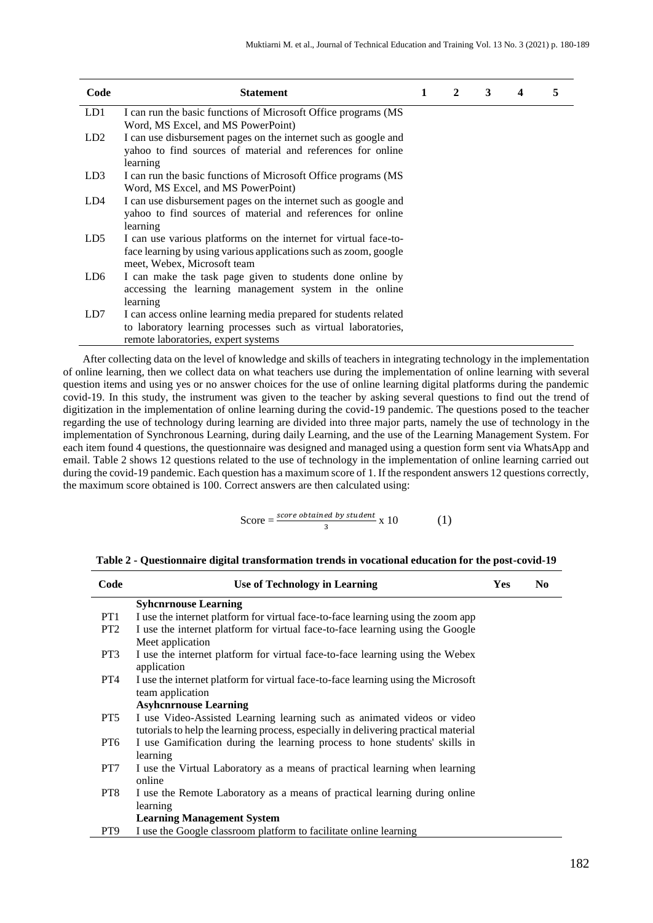| Code            | <b>Statement</b>                                                                                                                                                          | 1 | 2 | 3 | 4 | 5 |
|-----------------|---------------------------------------------------------------------------------------------------------------------------------------------------------------------------|---|---|---|---|---|
| LD1             | I can run the basic functions of Microsoft Office programs (MS<br>Word, MS Excel, and MS PowerPoint)                                                                      |   |   |   |   |   |
| LD <sub>2</sub> | I can use disbursement pages on the internet such as google and<br>yahoo to find sources of material and references for online<br>learning                                |   |   |   |   |   |
| LD3             | I can run the basic functions of Microsoft Office programs (MS<br>Word, MS Excel, and MS PowerPoint)                                                                      |   |   |   |   |   |
| LD4             | I can use disbursement pages on the internet such as google and<br>yahoo to find sources of material and references for online<br>learning                                |   |   |   |   |   |
| LD5             | I can use various platforms on the internet for virtual face-to-<br>face learning by using various applications such as zoom, google<br>meet, Webex, Microsoft team       |   |   |   |   |   |
| LD6             | I can make the task page given to students done online by<br>accessing the learning management system in the online<br>learning                                           |   |   |   |   |   |
| LD7             | I can access online learning media prepared for students related<br>to laboratory learning processes such as virtual laboratories,<br>remote laboratories, expert systems |   |   |   |   |   |

After collecting data on the level of knowledge and skills of teachers in integrating technology in the implementation of online learning, then we collect data on what teachers use during the implementation of online learning with several question items and using yes or no answer choices for the use of online learning digital platforms during the pandemic covid-19. In this study, the instrument was given to the teacher by asking several questions to find out the trend of digitization in the implementation of online learning during the covid-19 pandemic. The questions posed to the teacher regarding the use of technology during learning are divided into three major parts, namely the use of technology in the implementation of Synchronous Learning, during daily Learning, and the use of the Learning Management System. For each item found 4 questions, the questionnaire was designed and managed using a question form sent via WhatsApp and email. Table 2 shows 12 questions related to the use of technology in the implementation of online learning carried out during the covid-19 pandemic. Each question has a maximum score of 1. If the respondent answers 12 questions correctly, the maximum score obtained is 100. Correct answers are then calculated using:

$$
Score = \frac{score\,obtained\,by\,student}{3} \times 10 \tag{1}
$$

| Table 2 - Questionnaire digital transformation trends in vocational education for the post-covid-19 |
|-----------------------------------------------------------------------------------------------------|
|-----------------------------------------------------------------------------------------------------|

| Code            | Use of Technology in Learning                                                       | Yes | N <sub>0</sub> |
|-----------------|-------------------------------------------------------------------------------------|-----|----------------|
|                 | <b>Syhcnrnouse Learning</b>                                                         |     |                |
| PT <sub>1</sub> | I use the internet platform for virtual face-to-face learning using the zoom app    |     |                |
| PT <sub>2</sub> | I use the internet platform for virtual face-to-face learning using the Google      |     |                |
|                 | Meet application                                                                    |     |                |
| PT3             | I use the internet platform for virtual face-to-face learning using the Webex       |     |                |
|                 | application                                                                         |     |                |
| PT <sub>4</sub> | I use the internet platform for virtual face-to-face learning using the Microsoft   |     |                |
|                 | team application                                                                    |     |                |
|                 | <b>Asyhcnrnouse Learning</b>                                                        |     |                |
| PT5             | I use Video-Assisted Learning learning such as animated videos or video             |     |                |
|                 | tutorials to help the learning process, especially in delivering practical material |     |                |
| PT <sub>6</sub> | I use Gamification during the learning process to hone students' skills in          |     |                |
|                 | learning                                                                            |     |                |
| PT7             | I use the Virtual Laboratory as a means of practical learning when learning         |     |                |
|                 | online                                                                              |     |                |
| PT8             | I use the Remote Laboratory as a means of practical learning during online          |     |                |
|                 | learning                                                                            |     |                |
|                 | <b>Learning Management System</b>                                                   |     |                |
| PT9             | I use the Google classroom platform to facilitate online learning                   |     |                |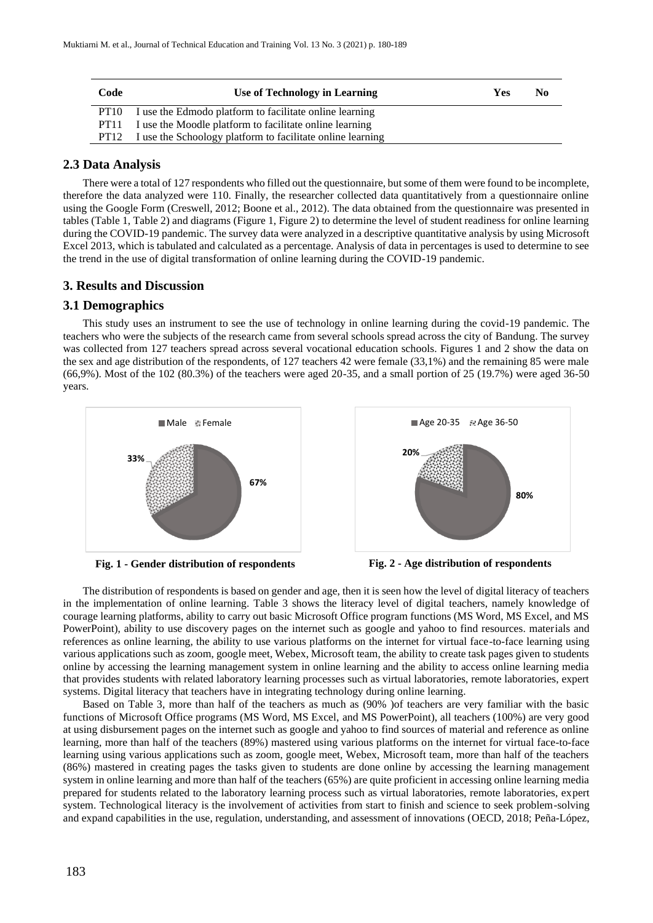| Code             | Use of Technology in Learning                              | Yes | No |
|------------------|------------------------------------------------------------|-----|----|
| PT <sub>10</sub> | I use the Edmodo platform to facilitate online learning    |     |    |
| PT <sub>11</sub> | I use the Moodle platform to facilitate online learning    |     |    |
| PT <sub>12</sub> | I use the Schoology platform to facilitate online learning |     |    |

## **2.3 Data Analysis**

There were a total of 127 respondents who filled out the questionnaire, but some of them were found to be incomplete, therefore the data analyzed were 110. Finally, the researcher collected data quantitatively from a questionnaire online using the Google Form (Creswell, 2012; Boone et al., 2012). The data obtained from the questionnaire was presented in tables (Table 1, Table 2) and diagrams (Figure 1, Figure 2) to determine the level of student readiness for online learning during the COVID-19 pandemic. The survey data were analyzed in a descriptive quantitative analysis by using Microsoft Excel 2013, which is tabulated and calculated as a percentage. Analysis of data in percentages is used to determine to see the trend in the use of digital transformation of online learning during the COVID-19 pandemic.

## **3. Results and Discussion**

## **3.1 Demographics**

This study uses an instrument to see the use of technology in online learning during the covid-19 pandemic. The teachers who were the subjects of the research came from several schools spread across the city of Bandung. The survey was collected from 127 teachers spread across several vocational education schools. Figures 1 and 2 show the data on the sex and age distribution of the respondents, of 127 teachers 42 were female (33,1%) and the remaining 85 were male (66,9%). Most of the 102 (80.3%) of the teachers were aged 20-35, and a small portion of 25 (19.7%) were aged 36-50 years.



**Fig. 1 - Gender distribution of respondents Fig. 2 - Age distribution of respondents**





The distribution of respondents is based on gender and age, then it is seen how the level of digital literacy of teachers in the implementation of online learning. Table 3 shows the literacy level of digital teachers, namely knowledge of courage learning platforms, ability to carry out basic Microsoft Office program functions (MS Word, MS Excel, and MS PowerPoint), ability to use discovery pages on the internet such as google and yahoo to find resources. materials and references as online learning, the ability to use various platforms on the internet for virtual face-to-face learning using various applications such as zoom, google meet, Webex, Microsoft team, the ability to create task pages given to students online by accessing the learning management system in online learning and the ability to access online learning media that provides students with related laboratory learning processes such as virtual laboratories, remote laboratories, expert systems. Digital literacy that teachers have in integrating technology during online learning.

Based on Table 3, more than half of the teachers as much as (90% )of teachers are very familiar with the basic functions of Microsoft Office programs (MS Word, MS Excel, and MS PowerPoint), all teachers (100%) are very good at using disbursement pages on the internet such as google and yahoo to find sources of material and reference as online learning, more than half of the teachers (89%) mastered using various platforms on the internet for virtual face-to-face learning using various applications such as zoom, google meet, Webex, Microsoft team, more than half of the teachers (86%) mastered in creating pages the tasks given to students are done online by accessing the learning management system in online learning and more than half of the teachers (65%) are quite proficient in accessing online learning media prepared for students related to the laboratory learning process such as virtual laboratories, remote laboratories, expert system. Technological literacy is the involvement of activities from start to finish and science to seek problem-solving and expand capabilities in the use, regulation, understanding, and assessment of innovations (OECD, 2018; Peña-López,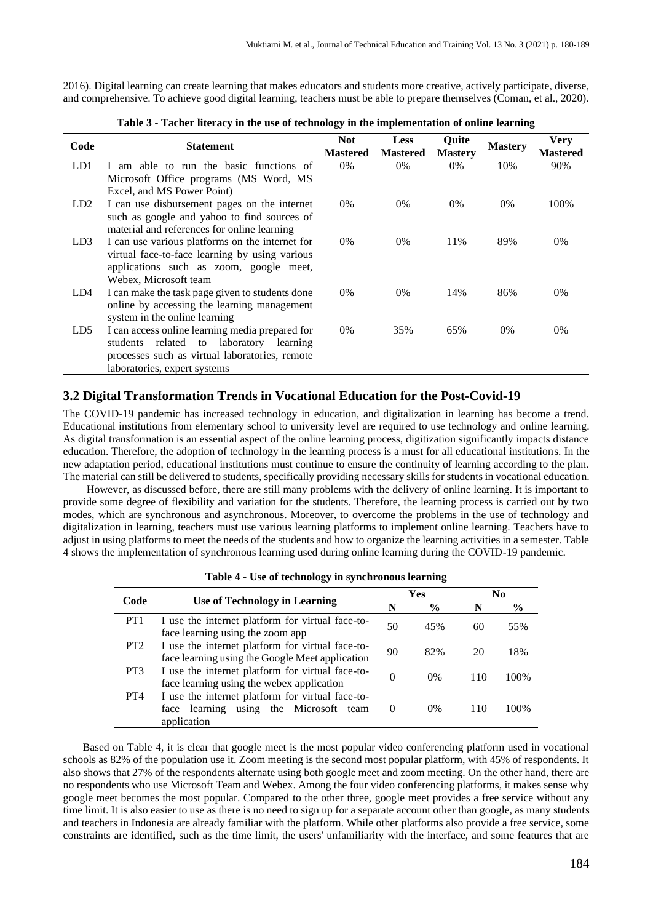2016). Digital learning can create learning that makes educators and students more creative, actively participate, diverse, and comprehensive. To achieve good digital learning, teachers must be able to prepare themselves (Coman, et al., 2020).

| Code            | <b>Statement</b>                                                                               | <b>Not</b><br><b>Mastered</b> | <b>Less</b><br><b>Mastered</b> | Quite<br><b>Mastery</b> | <b>Mastery</b> | <b>Very</b><br><b>Mastered</b> |
|-----------------|------------------------------------------------------------------------------------------------|-------------------------------|--------------------------------|-------------------------|----------------|--------------------------------|
| LD1             | I am able to run the basic functions of                                                        | $0\%$                         | $0\%$                          | $0\%$                   | 10%            | 90%                            |
|                 | Microsoft Office programs (MS Word, MS                                                         |                               |                                |                         |                |                                |
|                 | Excel, and MS Power Point)                                                                     |                               |                                |                         |                |                                |
| LD <sub>2</sub> | I can use disbursement pages on the internet                                                   | $0\%$                         | $0\%$                          | $0\%$                   | $0\%$          | 100\%                          |
|                 | such as google and yahoo to find sources of                                                    |                               |                                |                         |                |                                |
|                 | material and references for online learning                                                    |                               |                                |                         |                |                                |
| LD3             | I can use various platforms on the internet for                                                | $0\%$                         | $0\%$                          | 11%                     | 89%            | $0\%$                          |
|                 | virtual face-to-face learning by using various                                                 |                               |                                |                         |                |                                |
|                 | applications such as zoom, google meet,<br>Webex, Microsoft team                               |                               |                                |                         |                |                                |
| LD4             |                                                                                                | $0\%$                         | $0\%$                          | 14%                     | 86%            | 0%                             |
|                 | I can make the task page given to students done<br>online by accessing the learning management |                               |                                |                         |                |                                |
|                 | system in the online learning                                                                  |                               |                                |                         |                |                                |
| LD <sub>5</sub> | I can access online learning media prepared for                                                | $0\%$                         | 35%                            | 65%                     | $0\%$          | 0%                             |
|                 | laboratory<br>students<br>related to<br>learning                                               |                               |                                |                         |                |                                |
|                 | processes such as virtual laboratories, remote                                                 |                               |                                |                         |                |                                |
|                 | laboratories, expert systems                                                                   |                               |                                |                         |                |                                |

**Table 3 - Tacher literacy in the use of technology in the implementation of online learning**

### **3.2 Digital Transformation Trends in Vocational Education for the Post-Covid-19**

The COVID-19 pandemic has increased technology in education, and digitalization in learning has become a trend. Educational institutions from elementary school to university level are required to use technology and online learning. As digital transformation is an essential aspect of the online learning process, digitization significantly impacts distance education. Therefore, the adoption of technology in the learning process is a must for all educational institutions. In the new adaptation period, educational institutions must continue to ensure the continuity of learning according to the plan. The material can still be delivered to students, specifically providing necessary skills for students in vocational education.

However, as discussed before, there are still many problems with the delivery of online learning. It is important to provide some degree of flexibility and variation for the students. Therefore, the learning process is carried out by two modes, which are synchronous and asynchronous. Moreover, to overcome the problems in the use of technology and digitalization in learning, teachers must use various learning platforms to implement online learning. Teachers have to adjust in using platforms to meet the needs of the students and how to organize the learning activities in a semester. Table 4 shows the implementation of synchronous learning used during online learning during the COVID-19 pandemic.

| Code            | <b>Use of Technology in Learning</b>                                                                               | Yes |               | No  |       |
|-----------------|--------------------------------------------------------------------------------------------------------------------|-----|---------------|-----|-------|
|                 |                                                                                                                    | N   | $\frac{6}{9}$ | N   | $\%$  |
| PT <sub>1</sub> | I use the internet platform for virtual face-to-<br>face learning using the zoom app                               | 50  | 45%           | 60  | 55%   |
| PT <sub>2</sub> | I use the internet platform for virtual face-to-<br>face learning using the Google Meet application                | 90  | 82%           | 20  | 18%   |
| PT <sub>3</sub> | I use the internet platform for virtual face-to-<br>face learning using the webex application                      | 0   | $0\%$         | 110 | 100\% |
| PT <sub>4</sub> | I use the internet platform for virtual face-to-<br>using the Microsoft<br>learning<br>face<br>team<br>application |     | $0\%$         | 110 | 100%  |

**Table 4 - Use of technology in synchronous learning**

Based on Table 4, it is clear that google meet is the most popular video conferencing platform used in vocational schools as 82% of the population use it. Zoom meeting is the second most popular platform, with 45% of respondents. It also shows that 27% of the respondents alternate using both google meet and zoom meeting. On the other hand, there are no respondents who use Microsoft Team and Webex. Among the four video conferencing platforms, it makes sense why google meet becomes the most popular. Compared to the other three, google meet provides a free service without any time limit. It is also easier to use as there is no need to sign up for a separate account other than google, as many students and teachers in Indonesia are already familiar with the platform. While other platforms also provide a free service, some constraints are identified, such as the time limit, the users' unfamiliarity with the interface, and some features that are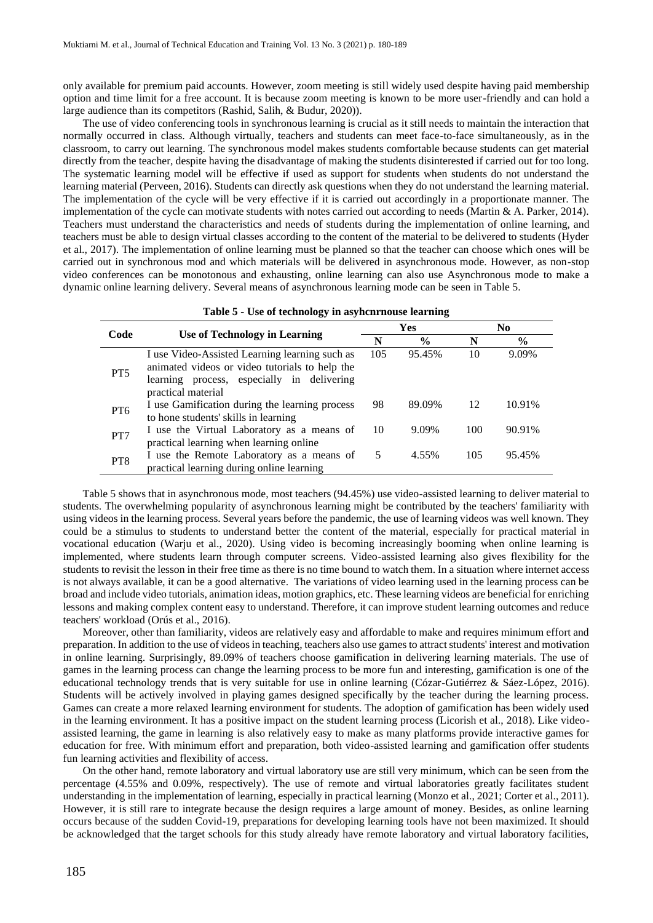only available for premium paid accounts. However, zoom meeting is still widely used despite having paid membership option and time limit for a free account. It is because zoom meeting is known to be more user-friendly and can hold a large audience than its competitors (Rashid, Salih, & Budur, 2020)).

The use of video conferencing tools in synchronous learning is crucial as it still needs to maintain the interaction that normally occurred in class. Although virtually, teachers and students can meet face-to-face simultaneously, as in the classroom, to carry out learning. The synchronous model makes students comfortable because students can get material directly from the teacher, despite having the disadvantage of making the students disinterested if carried out for too long. The systematic learning model will be effective if used as support for students when students do not understand the learning material (Perveen, 2016). Students can directly ask questions when they do not understand the learning material. The implementation of the cycle will be very effective if it is carried out accordingly in a proportionate manner. The implementation of the cycle can motivate students with notes carried out according to needs (Martin & A. Parker, 2014). Teachers must understand the characteristics and needs of students during the implementation of online learning, and teachers must be able to design virtual classes according to the content of the material to be delivered to students (Hyder et al., 2017). The implementation of online learning must be planned so that the teacher can choose which ones will be carried out in synchronous mod and which materials will be delivered in asynchronous mode. However, as non-stop video conferences can be monotonous and exhausting, online learning can also use Asynchronous mode to make a dynamic online learning delivery. Several means of asynchronous learning mode can be seen in Table 5.

| Code            | Use of Technology in Learning                                                                                                                                        |     | <b>Yes</b> | No. |        |  |
|-----------------|----------------------------------------------------------------------------------------------------------------------------------------------------------------------|-----|------------|-----|--------|--|
|                 |                                                                                                                                                                      | N   | $\%$       | N   | $\%$   |  |
| PT <sub>5</sub> | I use Video-Assisted Learning learning such as<br>animated videos or video tutorials to help the<br>learning process, especially in delivering<br>practical material | 105 | 95.45%     | 10  | 9.09%  |  |
| PT <sub>6</sub> | I use Gamification during the learning process<br>to hone students' skills in learning                                                                               | 98  | 89.09%     | 12  | 10.91% |  |
| PT7             | I use the Virtual Laboratory as a means of<br>practical learning when learning online                                                                                | 10  | 9.09%      | 100 | 90.91% |  |
| PT <sub>8</sub> | I use the Remote Laboratory as a means of<br>practical learning during online learning                                                                               | 5   | 4.55%      | 105 | 95.45% |  |

Table 5 shows that in asynchronous mode, most teachers (94.45%) use video-assisted learning to deliver material to students. The overwhelming popularity of asynchronous learning might be contributed by the teachers' familiarity with using videos in the learning process. Several years before the pandemic, the use of learning videos was well known. They could be a stimulus to students to understand better the content of the material, especially for practical material in vocational education (Warju et al., 2020). Using video is becoming increasingly booming when online learning is implemented, where students learn through computer screens. Video-assisted learning also gives flexibility for the students to revisit the lesson in their free time as there is no time bound to watch them. In a situation where internet access is not always available, it can be a good alternative. The variations of video learning used in the learning process can be broad and include video tutorials, animation ideas, motion graphics, etc. These learning videos are beneficial for enriching lessons and making complex content easy to understand. Therefore, it can improve student learning outcomes and reduce teachers' workload (Orús et al., 2016).

Moreover, other than familiarity, videos are relatively easy and affordable to make and requires minimum effort and preparation. In addition to the use of videos in teaching, teachers also use games to attract students' interest and motivation in online learning. Surprisingly, 89.09% of teachers choose gamification in delivering learning materials. The use of games in the learning process can change the learning process to be more fun and interesting, gamification is one of the educational technology trends that is very suitable for use in online learning (Cózar-Gutiérrez & Sáez-López, 2016). Students will be actively involved in playing games designed specifically by the teacher during the learning process. Games can create a more relaxed learning environment for students. The adoption of gamification has been widely used in the learning environment. It has a positive impact on the student learning process (Licorish et al., 2018). Like videoassisted learning, the game in learning is also relatively easy to make as many platforms provide interactive games for education for free. With minimum effort and preparation, both video-assisted learning and gamification offer students fun learning activities and flexibility of access.

On the other hand, remote laboratory and virtual laboratory use are still very minimum, which can be seen from the percentage (4.55% and 0.09%, respectively). The use of remote and virtual laboratories greatly facilitates student understanding in the implementation of learning, especially in practical learning (Monzo et al., 2021; Corter et al., 2011). However, it is still rare to integrate because the design requires a large amount of money. Besides, as online learning occurs because of the sudden Covid-19, preparations for developing learning tools have not been maximized. It should be acknowledged that the target schools for this study already have remote laboratory and virtual laboratory facilities,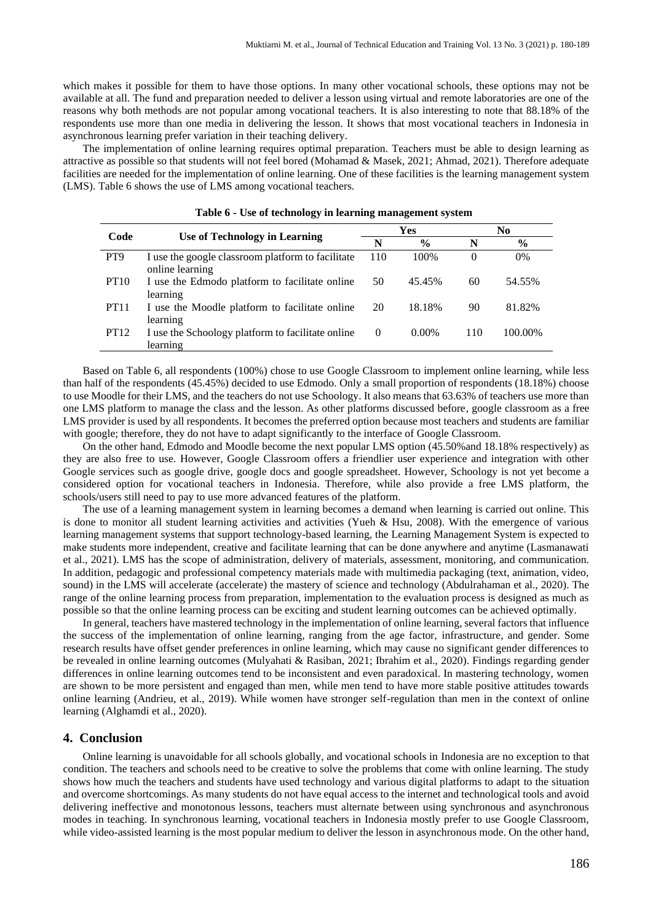which makes it possible for them to have those options. In many other vocational schools, these options may not be available at all. The fund and preparation needed to deliver a lesson using virtual and remote laboratories are one of the reasons why both methods are not popular among vocational teachers. It is also interesting to note that 88.18% of the respondents use more than one media in delivering the lesson. It shows that most vocational teachers in Indonesia in asynchronous learning prefer variation in their teaching delivery.

The implementation of online learning requires optimal preparation. Teachers must be able to design learning as attractive as possible so that students will not feel bored (Mohamad & Masek, 2021; Ahmad, 2021). Therefore adequate facilities are needed for the implementation of online learning. One of these facilities is the learning management system (LMS). Table 6 shows the use of LMS among vocational teachers.

| Code             | Use of Technology in Learning                                        |          | Yes           | No       |               |  |
|------------------|----------------------------------------------------------------------|----------|---------------|----------|---------------|--|
|                  |                                                                      | N        | $\frac{0}{0}$ | N        | $\frac{6}{6}$ |  |
| PT <sub>9</sub>  | I use the google classroom platform to facilitate<br>online learning | 110      | 100\%         | $\theta$ | $0\%$         |  |
| PT <sub>10</sub> | I use the Edmodo platform to facilitate online<br>learning           | 50       | 45.45%        | 60       | 54.55%        |  |
| <b>PT11</b>      | I use the Moodle platform to facilitate online<br>learning           | 20       | 18.18%        | 90       | 81.82%        |  |
| <b>PT12</b>      | I use the Schoology platform to facilitate online<br>learning        | $\Omega$ | $0.00\%$      | 110      | 100.00%       |  |

Based on Table 6, all respondents (100%) chose to use Google Classroom to implement online learning, while less than half of the respondents (45.45%) decided to use Edmodo. Only a small proportion of respondents (18.18%) choose to use Moodle for their LMS, and the teachers do not use Schoology. It also means that 63.63% of teachers use more than one LMS platform to manage the class and the lesson. As other platforms discussed before, google classroom as a free LMS provider is used by all respondents. It becomes the preferred option because most teachers and students are familiar with google; therefore, they do not have to adapt significantly to the interface of Google Classroom.

On the other hand, Edmodo and Moodle become the next popular LMS option (45.50%and 18.18% respectively) as they are also free to use. However, Google Classroom offers a friendlier user experience and integration with other Google services such as google drive, google docs and google spreadsheet. However, Schoology is not yet become a considered option for vocational teachers in Indonesia. Therefore, while also provide a free LMS platform, the schools/users still need to pay to use more advanced features of the platform.

The use of a learning management system in learning becomes a demand when learning is carried out online. This is done to monitor all student learning activities and activities (Yueh & Hsu, 2008). With the emergence of various learning management systems that support technology-based learning, the Learning Management System is expected to make students more independent, creative and facilitate learning that can be done anywhere and anytime (Lasmanawati et al., 2021). LMS has the scope of administration, delivery of materials, assessment, monitoring, and communication. In addition, pedagogic and professional competency materials made with multimedia packaging (text, animation, video, sound) in the LMS will accelerate (accelerate) the mastery of science and technology (Abdulrahaman et al., 2020). The range of the online learning process from preparation, implementation to the evaluation process is designed as much as possible so that the online learning process can be exciting and student learning outcomes can be achieved optimally.

In general, teachers have mastered technology in the implementation of online learning, several factors that influence the success of the implementation of online learning, ranging from the age factor, infrastructure, and gender. Some research results have offset gender preferences in online learning, which may cause no significant gender differences to be revealed in online learning outcomes (Mulyahati & Rasiban, 2021; Ibrahim et al., 2020). Findings regarding gender differences in online learning outcomes tend to be inconsistent and even paradoxical. In mastering technology, women are shown to be more persistent and engaged than men, while men tend to have more stable positive attitudes towards online learning (Andrieu, et al., 2019). While women have stronger self-regulation than men in the context of online learning (Alghamdi et al., 2020).

#### **4. Conclusion**

Online learning is unavoidable for all schools globally, and vocational schools in Indonesia are no exception to that condition. The teachers and schools need to be creative to solve the problems that come with online learning. The study shows how much the teachers and students have used technology and various digital platforms to adapt to the situation and overcome shortcomings. As many students do not have equal access to the internet and technological tools and avoid delivering ineffective and monotonous lessons, teachers must alternate between using synchronous and asynchronous modes in teaching. In synchronous learning, vocational teachers in Indonesia mostly prefer to use Google Classroom, while video-assisted learning is the most popular medium to deliver the lesson in asynchronous mode. On the other hand,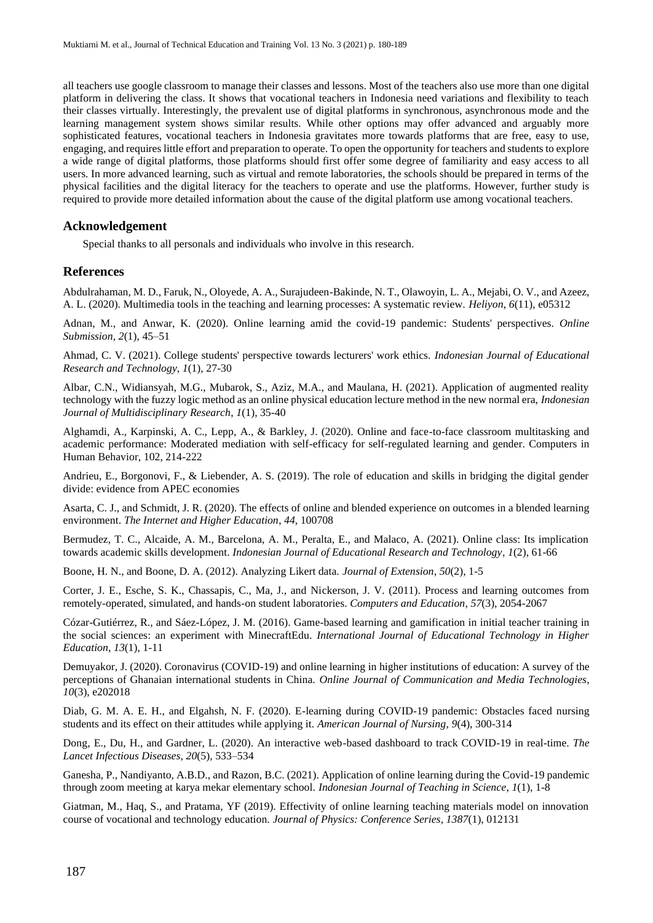all teachers use google classroom to manage their classes and lessons. Most of the teachers also use more than one digital platform in delivering the class. It shows that vocational teachers in Indonesia need variations and flexibility to teach their classes virtually. Interestingly, the prevalent use of digital platforms in synchronous, asynchronous mode and the learning management system shows similar results. While other options may offer advanced and arguably more sophisticated features, vocational teachers in Indonesia gravitates more towards platforms that are free, easy to use, engaging, and requires little effort and preparation to operate. To open the opportunity for teachers and students to explore a wide range of digital platforms, those platforms should first offer some degree of familiarity and easy access to all users. In more advanced learning, such as virtual and remote laboratories, the schools should be prepared in terms of the physical facilities and the digital literacy for the teachers to operate and use the platforms. However, further study is required to provide more detailed information about the cause of the digital platform use among vocational teachers.

#### **Acknowledgement**

Special thanks to all personals and individuals who involve in this research.

#### **References**

Abdulrahaman, M. D., Faruk, N., Oloyede, A. A., Surajudeen-Bakinde, N. T., Olawoyin, L. A., Mejabi, O. V., and Azeez, A. L. (2020). Multimedia tools in the teaching and learning processes: A systematic review. *Heliyon*, *6*(11), e05312

Adnan, M., and Anwar, K. (2020). Online learning amid the covid-19 pandemic: Students' perspectives. *Online Submission*, *2*(1), 45–51

Ahmad, C. V. (2021). College students' perspective towards lecturers' work ethics. *Indonesian Journal of Educational Research and Technology*, *1*(1), 27-30

Albar, C.N., Widiansyah, M.G., Mubarok, S., Aziz, M.A., and Maulana, H. (2021). Application of augmented reality technology with the fuzzy logic method as an online physical education lecture method in the new normal era, *Indonesian Journal of Multidisciplinary Research*, *1*(1), 35-40

Alghamdi, A., Karpinski, A. C., Lepp, A., & Barkley, J. (2020). Online and face-to-face classroom multitasking and academic performance: Moderated mediation with self-efficacy for self-regulated learning and gender. Computers in Human Behavior, 102, 214-222

Andrieu, E., Borgonovi, F., & Liebender, A. S. (2019). The role of education and skills in bridging the digital gender divide: evidence from APEC economies

Asarta, C. J., and Schmidt, J. R. (2020). The effects of online and blended experience on outcomes in a blended learning environment. *The Internet and Higher Education*, *44*, 100708

Bermudez, T. C., Alcaide, A. M., Barcelona, A. M., Peralta, E., and Malaco, A. (2021). Online class: Its implication towards academic skills development. *Indonesian Journal of Educational Research and Technology*, *1*(2), 61-66

Boone, H. N., and Boone, D. A. (2012). Analyzing Likert data. *Journal of Extension*, *50*(2), 1-5

Corter, J. E., Esche, S. K., Chassapis, C., Ma, J., and Nickerson, J. V. (2011). Process and learning outcomes from remotely-operated, simulated, and hands-on student laboratories. *Computers and Education*, *57*(3), 2054-2067

Cózar-Gutiérrez, R., and Sáez-López, J. M. (2016). Game-based learning and gamification in initial teacher training in the social sciences: an experiment with MinecraftEdu. *International Journal of Educational Technology in Higher Education*, *13*(1), 1-11

Demuyakor, J. (2020). Coronavirus (COVID-19) and online learning in higher institutions of education: A survey of the perceptions of Ghanaian international students in China. *Online Journal of Communication and Media Technologies*, *10*(3), e202018

Diab, G. M. A. E. H., and Elgahsh, N. F. (2020). E-learning during COVID-19 pandemic: Obstacles faced nursing students and its effect on their attitudes while applying it. *American Journal of Nursing*, *9*(4), 300-314

Dong, E., Du, H., and Gardner, L. (2020). An interactive web-based dashboard to track COVID-19 in real-time. *The Lancet Infectious Diseases*, *20*(5), 533–534

Ganesha, P., Nandiyanto, A.B.D., and Razon, B.C. (2021). Application of online learning during the Covid-19 pandemic through zoom meeting at karya mekar elementary school. *Indonesian Journal of Teaching in Science*, *1*(1), 1-8

Giatman, M., Haq, S., and Pratama, YF (2019). Effectivity of online learning teaching materials model on innovation course of vocational and technology education. *Journal of Physics: Conference Series*, *1387*(1), 012131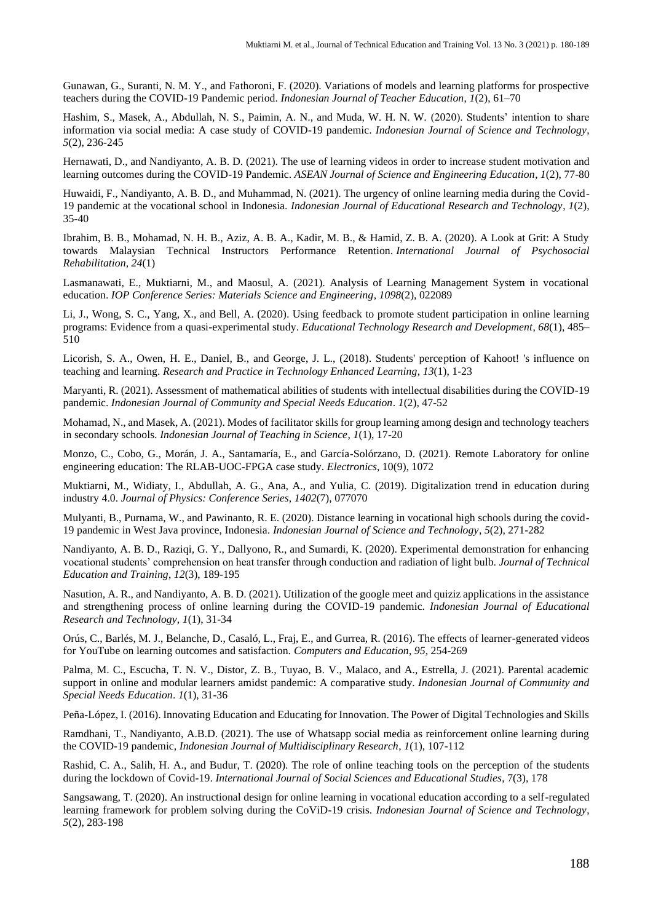Gunawan, G., Suranti, N. M. Y., and Fathoroni, F. (2020). Variations of models and learning platforms for prospective teachers during the COVID-19 Pandemic period. *Indonesian Journal of Teacher Education*, *1*(2), 61–70

Hashim, S., Masek, A., Abdullah, N. S., Paimin, A. N., and Muda, W. H. N. W. (2020). Students' intention to share information via social media: A case study of COVID-19 pandemic. *Indonesian Journal of Science and Technology*, *5*(2), 236-245

Hernawati, D., and Nandiyanto, A. B. D. (2021). The use of learning videos in order to increase student motivation and learning outcomes during the COVID-19 Pandemic. *ASEAN Journal of Science and Engineering Education*, *1*(2), 77-80

Huwaidi, F., Nandiyanto, A. B. D., and Muhammad, N. (2021). The urgency of online learning media during the Covid-19 pandemic at the vocational school in Indonesia. *Indonesian Journal of Educational Research and Technology*, *1*(2), 35-40

Ibrahim, B. B., Mohamad, N. H. B., Aziz, A. B. A., Kadir, M. B., & Hamid, Z. B. A. (2020). A Look at Grit: A Study towards Malaysian Technical Instructors Performance Retention. *International Journal of Psychosocial Rehabilitation*, *24*(1)

Lasmanawati, E., Muktiarni, M., and Maosul, A. (2021). Analysis of Learning Management System in vocational education. *IOP Conference Series: Materials Science and Engineering*, *1098*(2), 022089

Li, J., Wong, S. C., Yang, X., and Bell, A. (2020). Using feedback to promote student participation in online learning programs: Evidence from a quasi-experimental study. *Educational Technology Research and Development*, *68*(1), 485– 510

Licorish, S. A., Owen, H. E., Daniel, B., and George, J. L., (2018). Students' perception of Kahoot! 's influence on teaching and learning. *Research and Practice in Technology Enhanced Learning*, *13*(1), 1-23

Maryanti, R. (2021). Assessment of mathematical abilities of students with intellectual disabilities during the COVID-19 pandemic. *Indonesian Journal of Community and Special Needs Education*. *1*(2), 47-52

Mohamad, N., and Masek, A. (2021). Modes of facilitator skills for group learning among design and technology teachers in secondary schools. *Indonesian Journal of Teaching in Science*, *1*(1), 17-20

Monzo, C., Cobo, G., Morán, J. A., Santamaría, E., and García-Solórzano, D. (2021). Remote Laboratory for online engineering education: The RLAB-UOC-FPGA case study. *Electronics*, 10(9), 1072

Muktiarni, M., Widiaty, I., Abdullah, A. G., Ana, A., and Yulia, C. (2019). Digitalization trend in education during industry 4.0. *Journal of Physics: Conference Series*, *1402*(7), 077070

Mulyanti, B., Purnama, W., and Pawinanto, R. E. (2020). Distance learning in vocational high schools during the covid-19 pandemic in West Java province, Indonesia. *Indonesian Journal of Science and Technology*, *5*(2), 271-282

Nandiyanto, A. B. D., Raziqi, G. Y., Dallyono, R., and Sumardi, K. (2020). Experimental demonstration for enhancing vocational students' comprehension on heat transfer through conduction and radiation of light bulb. *Journal of Technical Education and Training*, *12*(3), 189-195

Nasution, A. R., and Nandiyanto, A. B. D. (2021). Utilization of the google meet and quiziz applications in the assistance and strengthening process of online learning during the COVID-19 pandemic. *Indonesian Journal of Educational Research and Technology*, *1*(1), 31-34

Orús, C., Barlés, M. J., Belanche, D., Casaló, L., Fraj, E., and Gurrea, R. (2016). The effects of learner-generated videos for YouTube on learning outcomes and satisfaction. *Computers and Education*, *95*, 254-269

Palma, M. C., Escucha, T. N. V., Distor, Z. B., Tuyao, B. V., Malaco, and A., Estrella, J. (2021). Parental academic support in online and modular learners amidst pandemic: A comparative study. *Indonesian Journal of Community and Special Needs Education*. *1*(1), 31-36

Peña-López, I. (2016). Innovating Education and Educating for Innovation. The Power of Digital Technologies and Skills

Ramdhani, T., Nandiyanto, A.B.D. (2021). The use of Whatsapp social media as reinforcement online learning during the COVID-19 pandemic, *Indonesian Journal of Multidisciplinary Research*, *1*(1), 107-112

Rashid, C. A., Salih, H. A., and Budur, T. (2020). The role of online teaching tools on the perception of the students during the lockdown of Covid-19. *International Journal of Social Sciences and Educational Studies*, 7(3), 178

Sangsawang, T. (2020). An instructional design for online learning in vocational education according to a self-regulated learning framework for problem solving during the CoViD-19 crisis. *Indonesian Journal of Science and Technology*, *5*(2), 283-198